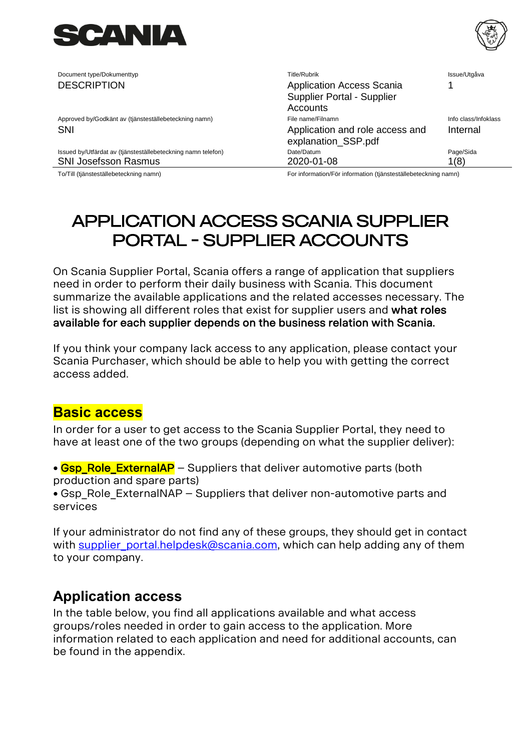

| Document type/Dokumenttyp                                    | <b>Title/Rubrik</b>                                    | Issue/Utgåva         |
|--------------------------------------------------------------|--------------------------------------------------------|----------------------|
| <b>DESCRIPTION</b>                                           | <b>Application Access Scania</b>                       |                      |
|                                                              | Supplier Portal - Supplier                             |                      |
|                                                              | Accounts                                               |                      |
| Approved by/Godkänt av (tjänsteställebeteckning namn)        | File name/Filnamn                                      | Info class/Infoklass |
| <b>SNI</b>                                                   | Application and role access and<br>explanation_SSP.pdf | Internal             |
| Issued by/Utfärdat av (tjänsteställebeteckning namn telefon) | Date/Datum                                             | Page/Sida            |
| SNI Josefsson Rasmus                                         | 2020-01-08                                             | 1(8)                 |
|                                                              |                                                        |                      |

To/Till (tjänsteställebeteckning namn) For information/För information (tjänsteställebeteckning namn)

# [Application Access Scania Supplier](#page-0-0)  [Portal - Supplier Accounts](#page-0-0)

On Scania Supplier Portal, Scania offers a range of application that suppliers need in order to perform their daily business with Scania. This document summarize the available applications and the related accesses necessary. The list is showing all different roles that exist for supplier users and what roles available for each supplier depends on the business relation with Scania.

If you think your company lack access to any application, please contact your Scania Purchaser, which should be able to help you with getting the correct access added.

## **Basic access**

In order for a user to get access to the Scania Supplier Portal, they need to have at least one of the two groups (depending on what the supplier deliver):

• Gsp Role ExternalAP – Suppliers that deliver automotive parts (both production and spare parts)

• Gsp\_Role\_ExternalNAP – Suppliers that deliver non-automotive parts and services

If your administrator do not find any of these groups, they should get in contact with supplier portal.helpdesk@scania.com, which can help adding any of them to your company.

## **Application access**

In the table below, you find all applications available and what access groups/roles needed in order to gain access to the application. More information related to each application and need for additional accounts, can be found in the appendix.

<span id="page-0-0"></span>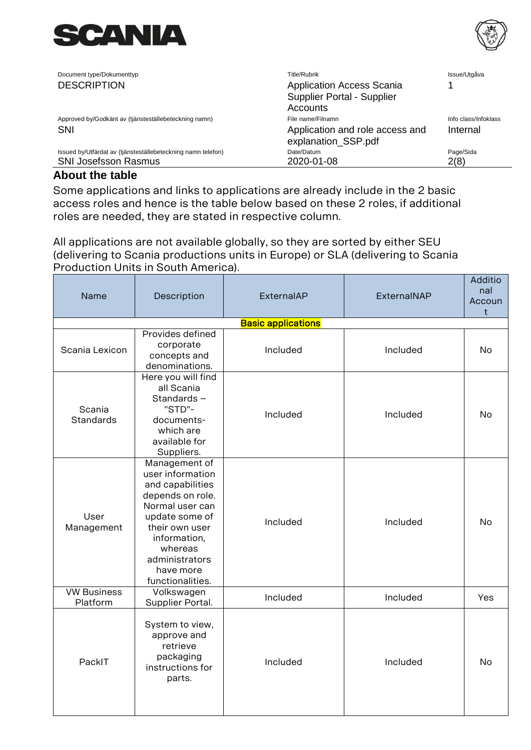



| Document type/Dokumenttyp                                    | Title/Rubrik                                           | Issue/Utgåva         |
|--------------------------------------------------------------|--------------------------------------------------------|----------------------|
| <b>DESCRIPTION</b>                                           | <b>Application Access Scania</b>                       |                      |
|                                                              | Supplier Portal - Supplier                             |                      |
|                                                              | Accounts                                               |                      |
| Approved by/Godkänt av (tjänsteställebeteckning namn)        | File name/Filnamn                                      | Info class/Infoklass |
| <b>SNI</b>                                                   | Application and role access and<br>explanation_SSP.pdf | Internal             |
| Issued by/Utfärdat av (tjänsteställebeteckning namn telefon) | Date/Datum                                             | Page/Sida            |
| <b>SNI Josefsson Rasmus</b>                                  | 2020-01-08                                             | 2(8)                 |

## **About the table**

Some applications and links to applications are already include in the 2 basic access roles and hence is the table below based on these 2 roles, if additional roles are needed, they are stated in respective column.

All applications are not available globally, so they are sorted by either SEU (delivering to Scania productions units in Europe) or SLA (delivering to Scania Production Units in South America).

| Name                           | Description                                                                                                                                                                                                    | ExternalAP                | ExternalNAP | Additio<br>nal<br>Accoun<br>t |
|--------------------------------|----------------------------------------------------------------------------------------------------------------------------------------------------------------------------------------------------------------|---------------------------|-------------|-------------------------------|
|                                |                                                                                                                                                                                                                | <b>Basic applications</b> |             |                               |
| Scania Lexicon                 | Provides defined<br>corporate<br>concepts and<br>denominations.                                                                                                                                                | Included                  | Included    | No                            |
| Scania<br><b>Standards</b>     | Here you will find<br>all Scania<br>Standards-<br>"STD"-<br>documents-<br>which are<br>available for<br>Suppliers.                                                                                             | Included                  | Included    | No                            |
| User<br>Management             | Management of<br>user information<br>and capabilities<br>depends on role.<br>Normal user can<br>update some of<br>their own user<br>information,<br>whereas<br>administrators<br>have more<br>functionalities. | Included                  | Included    | No                            |
| <b>VW Business</b><br>Platform | Volkswagen<br>Supplier Portal.                                                                                                                                                                                 | Included                  | Included    | Yes                           |
| PackIT                         | System to view,<br>approve and<br>retrieve<br>packaging<br>instructions for<br>parts.                                                                                                                          | Included                  | Included    | <b>No</b>                     |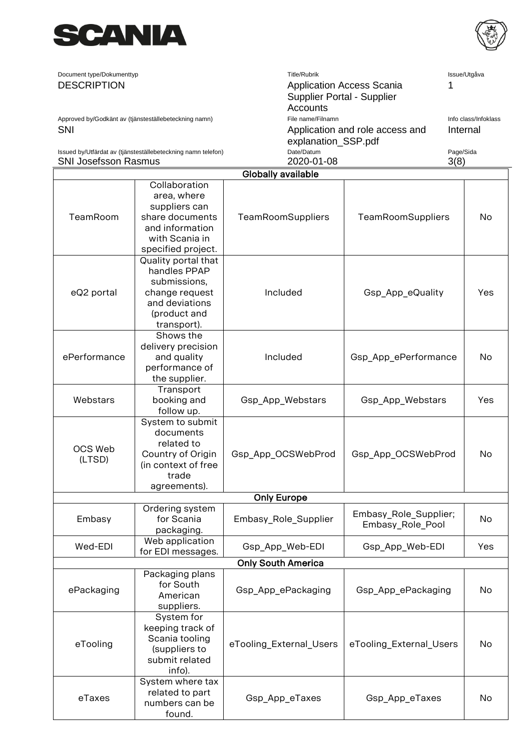



| Document type/Dokumenttyp                                    | Title/Rubrik                                           | Issue/Utgåva         |
|--------------------------------------------------------------|--------------------------------------------------------|----------------------|
| <b>DESCRIPTION</b>                                           | <b>Application Access Scania</b>                       |                      |
|                                                              | Supplier Portal - Supplier                             |                      |
|                                                              | Accounts                                               |                      |
| Approved by/Godkänt av (tjänsteställebeteckning namn)        | File name/Filnamn                                      | Info class/Infoklass |
| <b>SNI</b>                                                   | Application and role access and<br>explanation_SSP.pdf | Internal             |
| Issued by/Utfärdat av (tjänsteställebeteckning namn telefon) | Date/Datum                                             | Page/Sida            |
| <b>SNI Josefsson Rasmus</b>                                  | 2020-01-08                                             | 3(8)                 |

|                   | Globally available                                                                                                          |                           |                                           |     |
|-------------------|-----------------------------------------------------------------------------------------------------------------------------|---------------------------|-------------------------------------------|-----|
| TeamRoom          | Collaboration<br>area, where<br>suppliers can<br>share documents<br>and information<br>with Scania in<br>specified project. | <b>TeamRoomSuppliers</b>  | <b>TeamRoomSuppliers</b>                  | No  |
| eQ2 portal        | Quality portal that<br>handles PPAP<br>submissions,<br>change request<br>and deviations<br>(product and<br>transport).      | Included                  | Gsp_App_eQuality                          | Yes |
| ePerformance      | Shows the<br>delivery precision<br>and quality<br>performance of<br>the supplier.                                           | Included                  | Gsp_App_ePerformance                      | No  |
| Webstars          | Transport<br>booking and<br>follow up.                                                                                      | Gsp_App_Webstars          | Gsp_App_Webstars                          | Yes |
| OCS Web<br>(LTSD) | System to submit<br>documents<br>related to<br>Country of Origin<br>(in context of free<br>trade<br>agreements).            | Gsp_App_OCSWebProd        | Gsp_App_OCSWebProd                        | No  |
|                   |                                                                                                                             | <b>Only Europe</b>        |                                           |     |
| Embasy            | Ordering system<br>for Scania<br>packaging.                                                                                 | Embasy_Role_Supplier      | Embasy_Role_Supplier;<br>Embasy_Role_Pool | No  |
| Wed-EDI           | Web application<br>for EDI messages.                                                                                        | Gsp_App_Web-EDI           | Gsp_App_Web-EDI                           | Yes |
|                   |                                                                                                                             | <b>Only South America</b> |                                           |     |
| ePackaging        | Packaging plans<br>for South<br>American<br>suppliers.                                                                      | Gsp_App_ePackaging        | Gsp_App_ePackaging                        | No  |
| eTooling          | System for<br>keeping track of<br>Scania tooling<br>(suppliers to<br>submit related<br>info).                               | eTooling_External_Users   | eTooling_External_Users                   | No  |
| eTaxes            | System where tax<br>related to part<br>numbers can be<br>found.                                                             | Gsp_App_eTaxes            | Gsp_App_eTaxes                            | No  |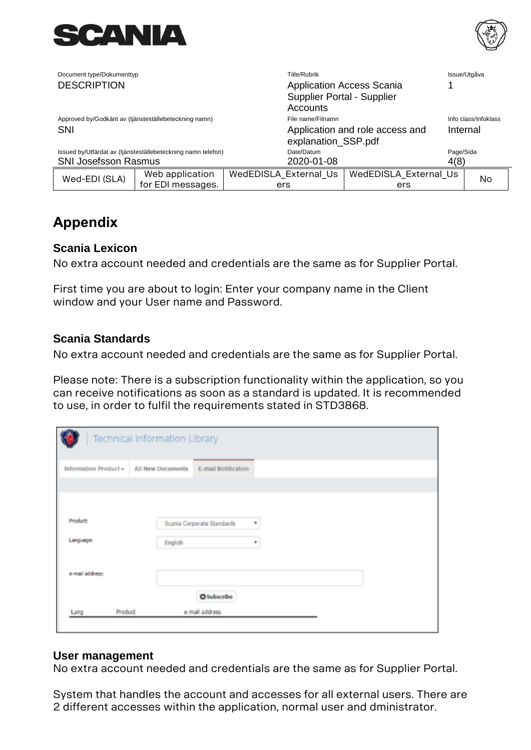



| Document type/Dokumenttyp   |                                                              | Title/Rubrik          |                                                                |           | Issue/Utgåva         |
|-----------------------------|--------------------------------------------------------------|-----------------------|----------------------------------------------------------------|-----------|----------------------|
| <b>DESCRIPTION</b>          |                                                              | Accounts              | <b>Application Access Scania</b><br>Supplier Portal - Supplier |           |                      |
|                             | Approved by/Godkänt av (tjänsteställebeteckning namn)        | File name/Filnamn     |                                                                |           | Info class/Infoklass |
| <b>SNI</b>                  |                                                              | explanation_SSP.pdf   | Application and role access and                                |           | Internal             |
|                             | Issued by/Utfärdat av (tjänsteställebeteckning namn telefon) | Date/Datum            |                                                                | Page/Sida |                      |
| <b>SNI Josefsson Rasmus</b> |                                                              | 2020-01-08            |                                                                | 4(8)      |                      |
| Wed-EDI (SLA)               | Web application                                              | WedEDISLA External Us | WedEDISLA_External_Us                                          |           | No                   |
|                             | for EDI messages.                                            | ers                   | ers                                                            |           |                      |

## **Appendix**

## **Scania Lexicon**

No extra account needed and credentials are the same as for Supplier Portal.

First time you are about to login: Enter your company name in the Client window and your User name and Password.

## **Scania Standards**

No extra account needed and credentials are the same as for Supplier Portal.

Please note: There is a subscription functionality within the application, so you can receive notifications as soon as a standard is updated. It is recommended to use, in order to fulfil the requirements stated in STD3868.

|                       | <b>Technical Information Library</b> |                            |   |  |
|-----------------------|--------------------------------------|----------------------------|---|--|
| Information Product = | All New Documents                    | E-mail Notification        |   |  |
|                       |                                      |                            |   |  |
| Product:              |                                      | Scania Corporate Standards | ۰ |  |
| Language:             | English                              |                            | ٠ |  |
| e-mail address:       |                                      |                            |   |  |
|                       |                                      | <b>O</b> Subscribe         |   |  |
| Product<br>Lang       |                                      | e-mail address             |   |  |

#### **User management**

No extra account needed and credentials are the same as for Supplier Portal.

System that handles the account and accesses for all external users. There are 2 different accesses within the application, normal user and dministrator.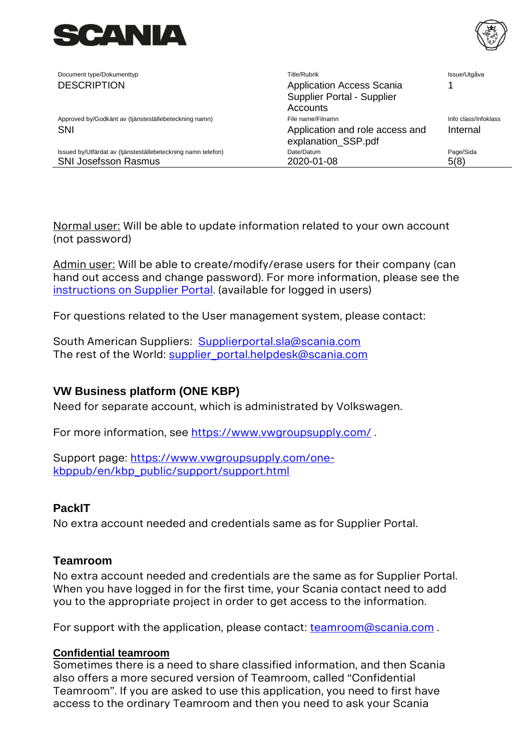

| Document type/Dokumenttyp                                    | Title/Rubrik                                                   | Issue/Utgåva         |
|--------------------------------------------------------------|----------------------------------------------------------------|----------------------|
| <b>DESCRIPTION</b>                                           | <b>Application Access Scania</b><br>Supplier Portal - Supplier |                      |
|                                                              | Accounts                                                       |                      |
| Approved by/Godkänt av (tjänsteställebeteckning namn)        | File name/Filnamn                                              | Info class/Infoklass |
| SNI                                                          | Application and role access and<br>explanation_SSP.pdf         | Internal             |
| Issued by/Utfärdat av (tjänsteställebeteckning namn telefon) | Date/Datum                                                     | Page/Sida            |
| <b>SNI Josefsson Rasmus</b>                                  | 2020-01-08                                                     | 5(8)                 |
|                                                              |                                                                |                      |

Normal user: Will be able to update information related to your own account (not password)

Admin user: Will be able to create/modify/erase users for their company (can hand out access and change password). For more information, please see the [instructions on Supplier Portal.](https://supplier.scania.com/helpdesk-support/) (available for logged in users)

For questions related to the User management system, please contact:

South American Suppliers: [Supplierportal.sla@scania.com](mailto:Supplierportal.sla@scania.com) The rest of the World: [supplier\\_portal.helpdesk@scania.com](mailto:supplier_portal.helpdesk@scania.com)

## **VW Business platform (ONE KBP)**

Need for separate account, which is administrated by Volkswagen.

For more information, see<https://www.vwgroupsupply.com/>.

Support page: [https://www.vwgroupsupply.com/one](https://www.vwgroupsupply.com/one-kbppub/en/kbp_public/support/support.html)[kbppub/en/kbp\\_public/support/support.html](https://www.vwgroupsupply.com/one-kbppub/en/kbp_public/support/support.html)

## **PackIT**

No extra account needed and credentials same as for Supplier Portal.

## **Teamroom**

No extra account needed and credentials are the same as for Supplier Portal. When you have logged in for the first time, your Scania contact need to add you to the appropriate project in order to get access to the information.

For support with the application, please contact: [teamroom@scania.com](mailto:teamroom@scania.com).

#### **Confidential teamroom**

Sometimes there is a need to share classified information, and then Scania also offers a more secured version of Teamroom, called "Confidential Teamroom". If you are asked to use this application, you need to first have access to the ordinary Teamroom and then you need to ask your Scania

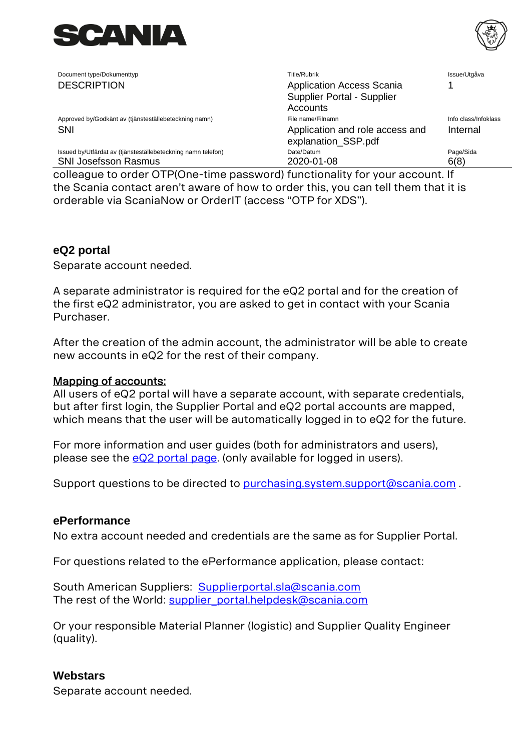



| Document type/Dokumenttyp                                    | <b>Title/Rubrik</b>                                    | Issue/Utgåva         |
|--------------------------------------------------------------|--------------------------------------------------------|----------------------|
| <b>DESCRIPTION</b>                                           | <b>Application Access Scania</b>                       |                      |
|                                                              | Supplier Portal - Supplier                             |                      |
|                                                              | Accounts                                               |                      |
| Approved by/Godkänt av (tjänsteställebeteckning namn)        | File name/Filnamn                                      | Info class/Infoklass |
| <b>SNI</b>                                                   | Application and role access and<br>explanation_SSP.pdf | Internal             |
| Issued by/Utfärdat av (tjänsteställebeteckning namn telefon) | Date/Datum                                             | Page/Sida            |
| <b>SNI Josefsson Rasmus</b>                                  | 2020-01-08                                             | 6(8)                 |

colleague to order OTP(One-time password) functionality for your account. If the Scania contact aren't aware of how to order this, you can tell them that it is orderable via ScaniaNow or OrderIT (access "OTP for XDS").

## **eQ2 portal**

Separate account needed.

A separate administrator is required for the eQ2 portal and for the creation of the first eQ2 administrator, you are asked to get in contact with your Scania Purchaser.

After the creation of the admin account, the administrator will be able to create new accounts in eQ2 for the rest of their company.

### Mapping of accounts:

All users of eQ2 portal will have a separate account, with separate credentials, but after first login, the Supplier Portal and eQ2 portal accounts are mapped, which means that the user will be automatically logged in to eQ2 for the future.

For more information and user guides (both for administrators and users), please see the [eQ2 portal page.](https://supplier.scania.com/helpdesk-support/) (only available for logged in users).

Support questions to be directed to [purchasing.system.support@scania.com](mailto:purchasing.system.support@scania.com) .

## **ePerformance**

No extra account needed and credentials are the same as for Supplier Portal.

For questions related to the ePerformance application, please contact:

South American Suppliers: [Supplierportal.sla@scania.com](mailto:Supplierportal.sla@scania.com) The rest of the World: [supplier\\_portal.helpdesk@scania.com](mailto:supplier_portal.helpdesk@scania.com)

Or your responsible Material Planner (logistic) and Supplier Quality Engineer (quality).

## **Webstars**

Separate account needed.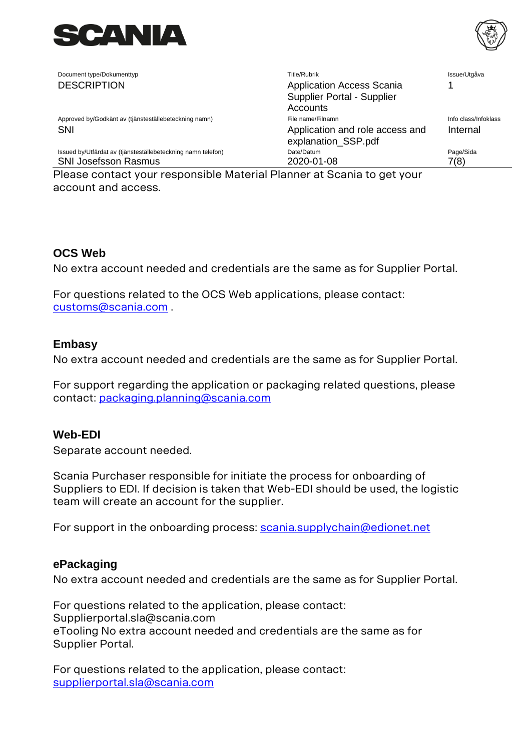

Document type/Dokumenttyp **Title/Rubrik** Title/Rubrik Issue/Utgåva

DESCRIPTION **Application Access Scania** Supplier Portal - Supplier **Accounts** 1 Approved by/Godkänt av (tjänsteställebeteckning namn) File name/Filnamn Info class/Infoklass Info class/Infoklass SNI Application and role access and state and role access and state and role access and state and role access and explanation\_SSP.pdf Internal Issued by/Utfärdat av (tjänsteställebeteckning namn telefon) Date/Datum Page/Sida SNI Josefsson Rasmus 2020-01-08 2020-01-08 7(8)

Please contact your responsible Material Planner at Scania to get your account and access.

## **OCS Web**

No extra account needed and credentials are the same as for Supplier Portal.

For questions related to the OCS Web applications, please contact: [customs@scania.com](mailto:customs@scania.com) .

## **Embasy**

No extra account needed and credentials are the same as for Supplier Portal.

For support regarding the application or packaging related questions, please contact: [packaging.planning@scania.com](mailto:packaging.planning@scania.com)

## **Web-EDI**

Separate account needed.

Scania Purchaser responsible for initiate the process for onboarding of Suppliers to EDI. If decision is taken that Web-EDI should be used, the logistic team will create an account for the supplier.

For support in the onboarding process: [scania.supplychain@edionet.net](mailto:scania.supplychain@edionet.net)

#### **ePackaging**

No extra account needed and credentials are the same as for Supplier Portal.

For questions related to the application, please contact: Supplierportal.sla@scania.com eTooling No extra account needed and credentials are the same as for Supplier Portal.

For questions related to the application, please contact: [supplierportal.sla@scania.com](mailto:supplierportal.sla@scania.com)